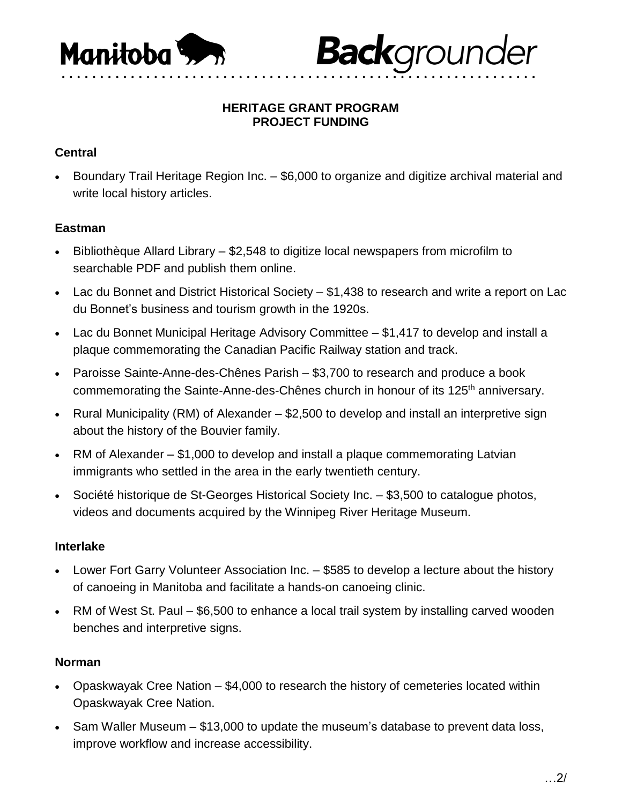

#### **HERITAGE GRANT PROGRAM PROJECT FUNDING**

**Back**grounder

## **Central**

 Boundary Trail Heritage Region Inc. – \$6,000 to organize and digitize archival material and write local history articles.

### **Eastman**

- Bibliothèque Allard Library \$2,548 to digitize local newspapers from microfilm to searchable PDF and publish them online.
- Lac du Bonnet and District Historical Society \$1,438 to research and write a report on Lac du Bonnet's business and tourism growth in the 1920s.
- Lac du Bonnet Municipal Heritage Advisory Committee \$1,417 to develop and install a plaque commemorating the Canadian Pacific Railway station and track.
- Paroisse Sainte-Anne-des-Chênes Parish \$3,700 to research and produce a book commemorating the Sainte-Anne-des-Chênes church in honour of its 125<sup>th</sup> anniversary.
- Rural Municipality (RM) of Alexander \$2,500 to develop and install an interpretive sign about the history of the Bouvier family.
- RM of Alexander \$1,000 to develop and install a plaque commemorating Latvian immigrants who settled in the area in the early twentieth century.
- Société historique de St-Georges Historical Society Inc. \$3,500 to catalogue photos, videos and documents acquired by the Winnipeg River Heritage Museum.

### **Interlake**

- Lower Fort Garry Volunteer Association Inc. \$585 to develop a lecture about the history of canoeing in Manitoba and facilitate a hands-on canoeing clinic.
- RM of West St. Paul \$6,500 to enhance a local trail system by installing carved wooden benches and interpretive signs.

### **Norman**

- Opaskwayak Cree Nation \$4,000 to research the history of cemeteries located within Opaskwayak Cree Nation.
- Sam Waller Museum \$13,000 to update the museum's database to prevent data loss, improve workflow and increase accessibility.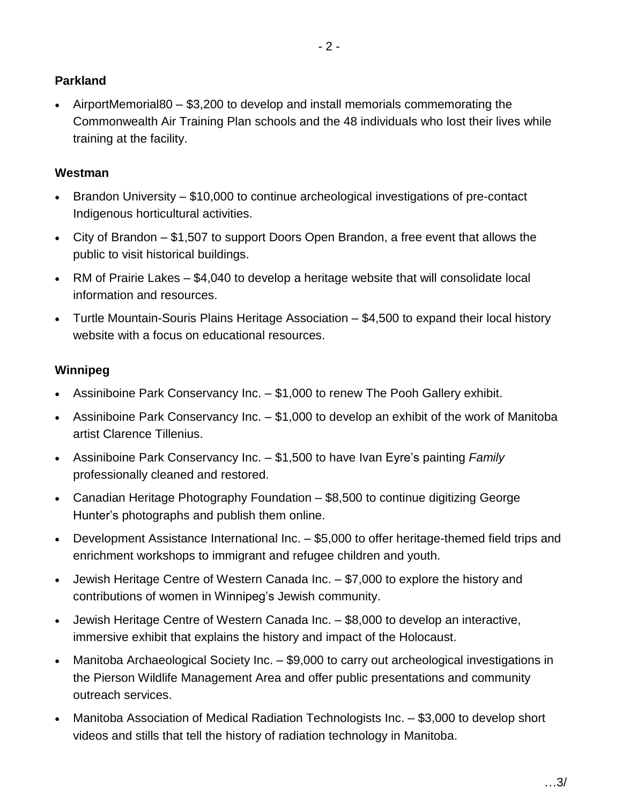# **Parkland**

 AirportMemorial80 – \$3,200 to develop and install memorials commemorating the Commonwealth Air Training Plan schools and the 48 individuals who lost their lives while training at the facility.

## **Westman**

- Brandon University \$10,000 to continue archeological investigations of pre-contact Indigenous horticultural activities.
- City of Brandon \$1,507 to support Doors Open Brandon, a free event that allows the public to visit historical buildings.
- RM of Prairie Lakes \$4,040 to develop a heritage website that will consolidate local information and resources.
- Turtle Mountain-Souris Plains Heritage Association \$4,500 to expand their local history website with a focus on educational resources.

## **Winnipeg**

- Assiniboine Park Conservancy Inc. \$1,000 to renew The Pooh Gallery exhibit.
- Assiniboine Park Conservancy Inc. \$1,000 to develop an exhibit of the work of Manitoba artist Clarence Tillenius.
- Assiniboine Park Conservancy Inc. \$1,500 to have Ivan Eyre's painting *Family* professionally cleaned and restored.
- Canadian Heritage Photography Foundation \$8,500 to continue digitizing George Hunter's photographs and publish them online.
- Development Assistance International Inc. \$5,000 to offer heritage-themed field trips and enrichment workshops to immigrant and refugee children and youth.
- Jewish Heritage Centre of Western Canada Inc. \$7,000 to explore the history and contributions of women in Winnipeg's Jewish community.
- Jewish Heritage Centre of Western Canada Inc. \$8,000 to develop an interactive, immersive exhibit that explains the history and impact of the Holocaust.
- Manitoba Archaeological Society Inc. \$9,000 to carry out archeological investigations in the Pierson Wildlife Management Area and offer public presentations and community outreach services.
- Manitoba Association of Medical Radiation Technologists Inc. \$3,000 to develop short videos and stills that tell the history of radiation technology in Manitoba.